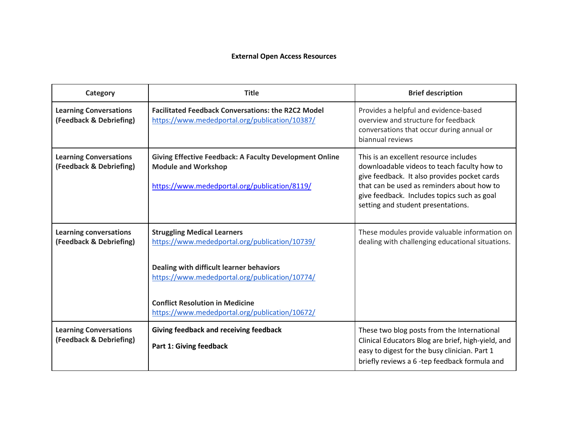## **External Open Access Resources**

| Category                                                 | <b>Title</b>                                                                                                                                                                                                                                                                   | <b>Brief description</b>                                                                                                                                                                                                                                                 |
|----------------------------------------------------------|--------------------------------------------------------------------------------------------------------------------------------------------------------------------------------------------------------------------------------------------------------------------------------|--------------------------------------------------------------------------------------------------------------------------------------------------------------------------------------------------------------------------------------------------------------------------|
| <b>Learning Conversations</b><br>(Feedback & Debriefing) | <b>Facilitated Feedback Conversations: the R2C2 Model</b><br>https://www.mededportal.org/publication/10387/                                                                                                                                                                    | Provides a helpful and evidence-based<br>overview and structure for feedback<br>conversations that occur during annual or<br>biannual reviews                                                                                                                            |
| <b>Learning Conversations</b><br>(Feedback & Debriefing) | <b>Giving Effective Feedback: A Faculty Development Online</b><br><b>Module and Workshop</b><br>https://www.mededportal.org/publication/8119/                                                                                                                                  | This is an excellent resource includes<br>downloadable videos to teach faculty how to<br>give feedback. It also provides pocket cards<br>that can be used as reminders about how to<br>give feedback. Includes topics such as goal<br>setting and student presentations. |
| <b>Learning conversations</b><br>(Feedback & Debriefing) | <b>Struggling Medical Learners</b><br>https://www.mededportal.org/publication/10739/<br>Dealing with difficult learner behaviors<br>https://www.mededportal.org/publication/10774/<br><b>Conflict Resolution in Medicine</b><br>https://www.mededportal.org/publication/10672/ | These modules provide valuable information on<br>dealing with challenging educational situations.                                                                                                                                                                        |
| <b>Learning Conversations</b><br>(Feedback & Debriefing) | Giving feedback and receiving feedback<br><b>Part 1: Giving feedback</b>                                                                                                                                                                                                       | These two blog posts from the International<br>Clinical Educators Blog are brief, high-yield, and<br>easy to digest for the busy clinician. Part 1<br>briefly reviews a 6 -tep feedback formula and                                                                      |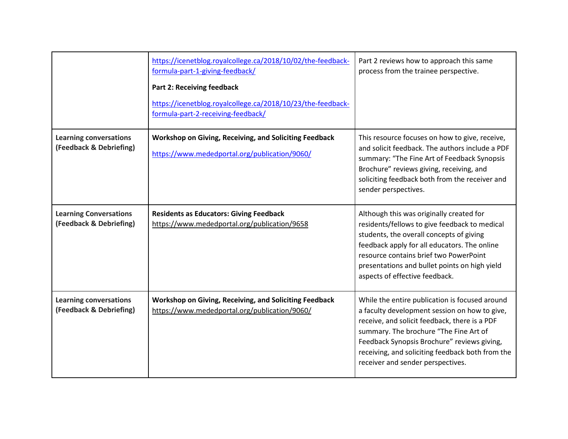|                                                          | https://icenetblog.royalcollege.ca/2018/10/02/the-feedback-<br>formula-part-1-giving-feedback/<br><b>Part 2: Receiving feedback</b><br>https://icenetblog.royalcollege.ca/2018/10/23/the-feedback-<br>formula-part-2-receiving-feedback/ | Part 2 reviews how to approach this same<br>process from the trainee perspective.                                                                                                                                                                                                                                                  |
|----------------------------------------------------------|------------------------------------------------------------------------------------------------------------------------------------------------------------------------------------------------------------------------------------------|------------------------------------------------------------------------------------------------------------------------------------------------------------------------------------------------------------------------------------------------------------------------------------------------------------------------------------|
| <b>Learning conversations</b><br>(Feedback & Debriefing) | Workshop on Giving, Receiving, and Soliciting Feedback<br>https://www.mededportal.org/publication/9060/                                                                                                                                  | This resource focuses on how to give, receive,<br>and solicit feedback. The authors include a PDF<br>summary: "The Fine Art of Feedback Synopsis<br>Brochure" reviews giving, receiving, and<br>soliciting feedback both from the receiver and<br>sender perspectives.                                                             |
| <b>Learning Conversations</b><br>(Feedback & Debriefing) | <b>Residents as Educators: Giving Feedback</b><br>https://www.mededportal.org/publication/9658                                                                                                                                           | Although this was originally created for<br>residents/fellows to give feedback to medical<br>students, the overall concepts of giving<br>feedback apply for all educators. The online<br>resource contains brief two PowerPoint<br>presentations and bullet points on high yield<br>aspects of effective feedback.                 |
| <b>Learning conversations</b><br>(Feedback & Debriefing) | Workshop on Giving, Receiving, and Soliciting Feedback<br>https://www.mededportal.org/publication/9060/                                                                                                                                  | While the entire publication is focused around<br>a faculty development session on how to give,<br>receive, and solicit feedback, there is a PDF<br>summary. The brochure "The Fine Art of<br>Feedback Synopsis Brochure" reviews giving,<br>receiving, and soliciting feedback both from the<br>receiver and sender perspectives. |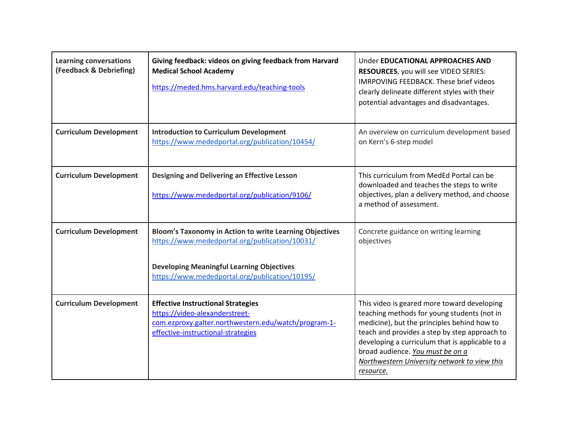| <b>Learning conversations</b><br>(Feedback & Debriefing) | Giving feedback: videos on giving feedback from Harvard<br><b>Medical School Academy</b><br>https://meded.hms.harvard.edu/teaching-tools                                                                               | Under <b>EDUCATIONAL APPROACHES AND</b><br>RESOURCES, you will see VIDEO SERIES:<br><b>IMRPOVING FEEDBACK. These brief videos</b><br>clearly delineate different styles with their<br>potential advantages and disadvantages.                                                                                                                  |
|----------------------------------------------------------|------------------------------------------------------------------------------------------------------------------------------------------------------------------------------------------------------------------------|------------------------------------------------------------------------------------------------------------------------------------------------------------------------------------------------------------------------------------------------------------------------------------------------------------------------------------------------|
| <b>Curriculum Development</b>                            | <b>Introduction to Curriculum Development</b><br>https://www.mededportal.org/publication/10454/                                                                                                                        | An overview on curriculum development based<br>on Kern's 6-step model                                                                                                                                                                                                                                                                          |
| <b>Curriculum Development</b>                            | Designing and Delivering an Effective Lesson<br>https://www.mededportal.org/publication/9106/                                                                                                                          | This curriculum from MedEd Portal can be<br>downloaded and teaches the steps to write<br>objectives, plan a delivery method, and choose<br>a method of assessment.                                                                                                                                                                             |
| <b>Curriculum Development</b>                            | <b>Bloom's Taxonomy in Action to write Learning Objectives</b><br>https://www.mededportal.org/publication/10031/<br><b>Developing Meaningful Learning Objectives</b><br>https://www.mededportal.org/publication/10195/ | Concrete guidance on writing learning<br>objectives                                                                                                                                                                                                                                                                                            |
| <b>Curriculum Development</b>                            | <b>Effective Instructional Strategies</b><br>https://video-alexanderstreet-<br>com.ezproxy.galter.northwestern.edu/watch/program-1-<br>effective-instructional-strategies                                              | This video is geared more toward developing<br>teaching methods for young students (not in<br>medicine), but the principles behind how to<br>teach and provides a step by step approach to<br>developing a curriculum that is applicable to a<br>broad audience. You must be on a<br>Northwestern University network to view this<br>resource. |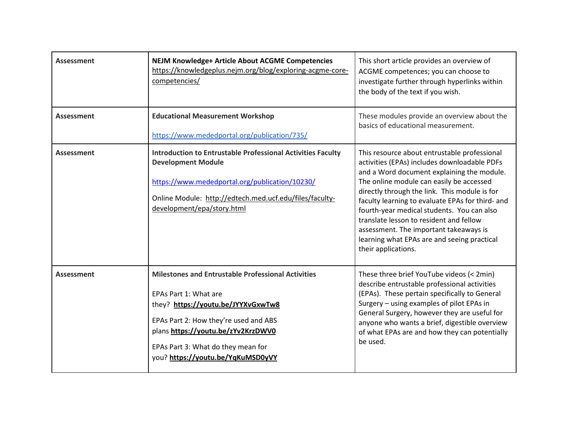| <b>Assessment</b> | <b>NEJM Knowledge+ Article About ACGME Competencies</b><br>https://knowledgeplus.nejm.org/blog/exploring-acgme-core-<br>competencies/                                                                                                                                              | This short article provides an overview of<br>ACGME competences; you can choose to<br>investigate further through hyperlinks within<br>the body of the text if you wish.                                                                                                                                                                                                                                                                                                                             |
|-------------------|------------------------------------------------------------------------------------------------------------------------------------------------------------------------------------------------------------------------------------------------------------------------------------|------------------------------------------------------------------------------------------------------------------------------------------------------------------------------------------------------------------------------------------------------------------------------------------------------------------------------------------------------------------------------------------------------------------------------------------------------------------------------------------------------|
| Assessment        | <b>Educational Measurement Workshop</b><br>https://www.mededportal.org/publication/735/                                                                                                                                                                                            | These modules provide an overview about the<br>basics of educational measurement.                                                                                                                                                                                                                                                                                                                                                                                                                    |
| <b>Assessment</b> | <b>Introduction to Entrustable Professional Activities Faculty</b><br><b>Development Module</b><br>https://www.mededportal.org/publication/10230/<br>Online Module: http://edtech.med.ucf.edu/files/faculty-<br>development/epa/story.html                                         | This resource about entrustable professional<br>activities (EPAs) includes downloadable PDFs<br>and a Word document explaining the module.<br>The online module can easily be accessed<br>directly through the link. This module is for<br>faculty learning to evaluate EPAs for third- and<br>fourth-year medical students. You can also<br>translate lesson to resident and fellow<br>assessment. The important takeaways is<br>learning what EPAs are and seeing practical<br>their applications. |
| <b>Assessment</b> | <b>Milestones and Entrustable Professional Activities</b><br>EPAs Part 1: What are<br>they? https://youtu.be/JYYXvGxwTw8<br>EPAs Part 2: How they're used and ABS<br>plans https://youtu.be/zYv2KrzDWV0<br>EPAs Part 3: What do they mean for<br>you? https://youtu.be/YqKuMSD0yVY | These three brief YouTube videos (< 2min)<br>describe entrustable professional activities<br>(EPAs). These pertain specifically to General<br>Surgery - using examples of pilot EPAs in<br>General Surgery, however they are useful for<br>anyone who wants a brief, digestible overview<br>of what EPAs are and how they can potentially<br>be used.                                                                                                                                                |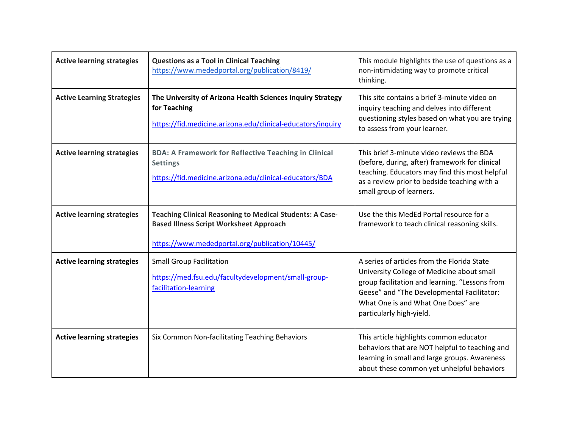| <b>Active learning strategies</b> | <b>Questions as a Tool in Clinical Teaching</b><br>https://www.mededportal.org/publication/8419/                                                                    | This module highlights the use of questions as a<br>non-intimidating way to promote critical<br>thinking.                                                                                                                                                   |
|-----------------------------------|---------------------------------------------------------------------------------------------------------------------------------------------------------------------|-------------------------------------------------------------------------------------------------------------------------------------------------------------------------------------------------------------------------------------------------------------|
| <b>Active Learning Strategies</b> | The University of Arizona Health Sciences Inquiry Strategy<br>for Teaching<br>https://fid.medicine.arizona.edu/clinical-educators/inquiry                           | This site contains a brief 3-minute video on<br>inquiry teaching and delves into different<br>questioning styles based on what you are trying<br>to assess from your learner.                                                                               |
| <b>Active learning strategies</b> | <b>BDA: A Framework for Reflective Teaching in Clinical</b><br><b>Settings</b><br>https://fid.medicine.arizona.edu/clinical-educators/BDA                           | This brief 3-minute video reviews the BDA<br>(before, during, after) framework for clinical<br>teaching. Educators may find this most helpful<br>as a review prior to bedside teaching with a<br>small group of learners.                                   |
| <b>Active learning strategies</b> | <b>Teaching Clinical Reasoning to Medical Students: A Case-</b><br><b>Based Illness Script Worksheet Approach</b><br>https://www.mededportal.org/publication/10445/ | Use the this MedEd Portal resource for a<br>framework to teach clinical reasoning skills.                                                                                                                                                                   |
| <b>Active learning strategies</b> | <b>Small Group Facilitation</b><br>https://med.fsu.edu/facultydevelopment/small-group-<br>facilitation-learning                                                     | A series of articles from the Florida State<br>University College of Medicine about small<br>group facilitation and learning. "Lessons from<br>Geese" and "The Developmental Facilitator:<br>What One is and What One Does" are<br>particularly high-yield. |
| <b>Active learning strategies</b> | Six Common Non-facilitating Teaching Behaviors                                                                                                                      | This article highlights common educator<br>behaviors that are NOT helpful to teaching and<br>learning in small and large groups. Awareness<br>about these common yet unhelpful behaviors                                                                    |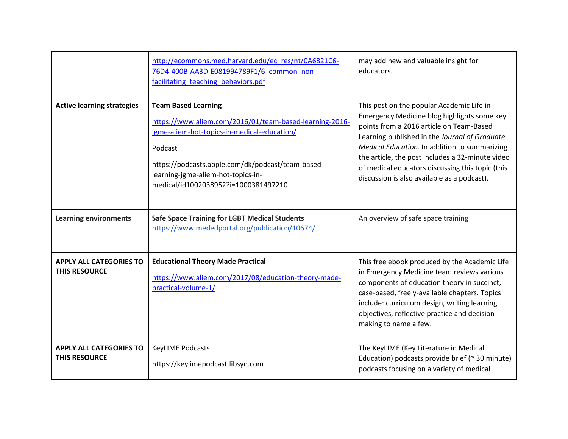|                                                        | http://ecommons.med.harvard.edu/ec res/nt/0A6821C6-<br>76D4-400B-AA3D-E081994789F1/6 common non-<br>facilitating teaching behaviors.pdf                                                                                                                                            | may add new and valuable insight for<br>educators.                                                                                                                                                                                                                                                                                                                                            |
|--------------------------------------------------------|------------------------------------------------------------------------------------------------------------------------------------------------------------------------------------------------------------------------------------------------------------------------------------|-----------------------------------------------------------------------------------------------------------------------------------------------------------------------------------------------------------------------------------------------------------------------------------------------------------------------------------------------------------------------------------------------|
| <b>Active learning strategies</b>                      | <b>Team Based Learning</b><br>https://www.aliem.com/2016/01/team-based-learning-2016-<br>jgme-aliem-hot-topics-in-medical-education/<br>Podcast<br>https://podcasts.apple.com/dk/podcast/team-based-<br>learning-jgme-aliem-hot-topics-in-<br>medical/id1002038952?i=1000381497210 | This post on the popular Academic Life in<br>Emergency Medicine blog highlights some key<br>points from a 2016 article on Team-Based<br>Learning published in the Journal of Graduate<br>Medical Education. In addition to summarizing<br>the article, the post includes a 32-minute video<br>of medical educators discussing this topic (this<br>discussion is also available as a podcast). |
| <b>Learning environments</b>                           | <b>Safe Space Training for LGBT Medical Students</b><br>https://www.mededportal.org/publication/10674/                                                                                                                                                                             | An overview of safe space training                                                                                                                                                                                                                                                                                                                                                            |
| <b>APPLY ALL CATEGORIES TO</b><br><b>THIS RESOURCE</b> | <b>Educational Theory Made Practical</b><br>https://www.aliem.com/2017/08/education-theory-made-<br>practical-volume-1/                                                                                                                                                            | This free ebook produced by the Academic Life<br>in Emergency Medicine team reviews various<br>components of education theory in succinct,<br>case-based, freely-available chapters. Topics<br>include: curriculum design, writing learning<br>objectives, reflective practice and decision-<br>making to name a few.                                                                         |
| <b>APPLY ALL CATEGORIES TO</b><br><b>THIS RESOURCE</b> | <b>KeyLIME Podcasts</b><br>https://keylimepodcast.libsyn.com                                                                                                                                                                                                                       | The KeyLIME (Key Literature in Medical<br>Education) podcasts provide brief ( $\approx$ 30 minute)<br>podcasts focusing on a variety of medical                                                                                                                                                                                                                                               |